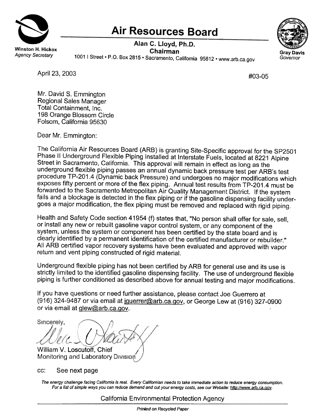

## **Air Resources Board**

Alan C. Lloyd, Ph.D. Chairman



Gray Davis<br>Agency Secretary 1001 | Street • P.O. Box 2815 • Sacramento, California 95812. www.arb.ca.gov. Governor

April 23, 2003 #03-05

Mr. David S. Emmington Regional Sales Manager Total Containment, Inc. 198 Orange Blossom Circle Folsom, California 95630

Dear Mr. Emmington:

The California Air Resources Board (ARB) is granting Site-Specific approval for the SP2501 Phase II Underground Flexible Piping installed at Interstate Fuels, located at 8221 Alpine Street in Sacramento, California. This approval will remain in effect as long as the underground flexible piping passes an annual dynamic back pressure test per ARB's test procedure TP-201.4 (Dynamic back Pressure) and undergoes no major modifications which exposes fifty percent or more of the flex piping. Annual test results from TP-201.4 must be forwarded to the Sacramento Metropolitan Air Quality Management District. If the system fails and a blockage is detected in the flex piping or if the gasoline dispensing facility undergoes a major modification, the flex piping must be removed and replaced with rigid piping.

Health and Safety Code section 41954 (f) states that, "No person shall offer for sale, sell, or install any new or rebuilt gasoline vapor control system, or any component of the system, unless the system or component has been certified by the state board and is clearly identified by a permanent identification of the certified manufacturer or rebuilder." All ARB certified vapor recovery systems have been evaluated and approved with vapor return and vent piping constructed of rigid material.

Underground flexible piping has not been certified by ARB for general use and its use is strictly limited to the identified gasoline dispensing facility. The use of underground flexible piping is further conditioned as described above for annual testing and major modifications.

If you have questions or need further assistance, please contact Joe Guerrero at  $(916)$  324-9487 or via email at jouerrer@arb.ca.gov, or George Lew at (916) 327-0900 or via email at Qlew@arb.ca.Qov.

Sincerely.  $\overline{\phantom{a}}$ i  $\mathcal{L}$  . William V. Loscutoff, Chief I **Monitoring and Laboratory Division** 

cc: See next page

The energy challenge facing Califomia is real. Every Califomian needs to take immediate action to reduce energy consumption. For a list of simple ways you can reduce demand and cut your energy costs, see our Website: http://www.arb.ca.gov.

California Environmental Protection Agency